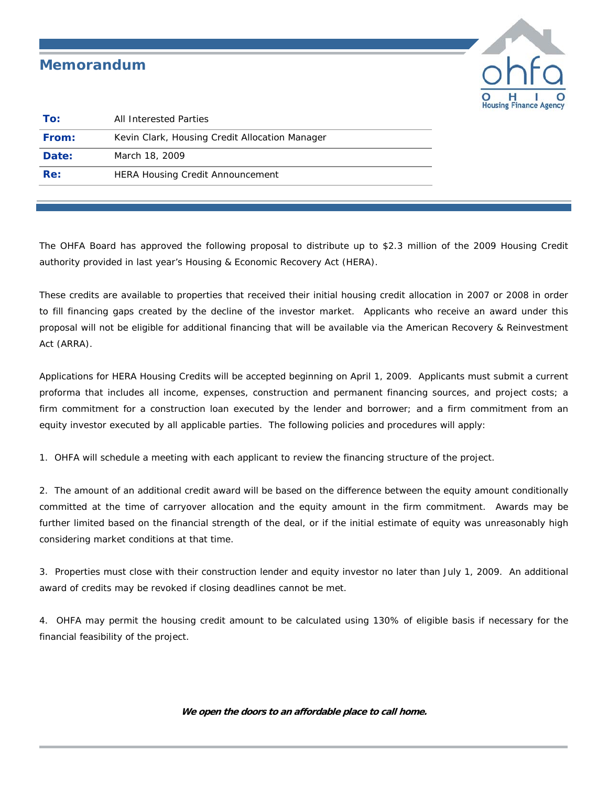## *Memorandum*



| To:   | All Interested Parties                         |
|-------|------------------------------------------------|
| From: | Kevin Clark, Housing Credit Allocation Manager |
| Date: | March 18, 2009                                 |
| Re:   | <b>HERA Housing Credit Announcement</b>        |
|       |                                                |

The OHFA Board has approved the following proposal to distribute up to \$2.3 million of the 2009 Housing Credit authority provided in last year's Housing & Economic Recovery Act (HERA).

These credits are available to properties that received their initial housing credit allocation in 2007 or 2008 in order to fill financing gaps created by the decline of the investor market. Applicants who receive an award under this proposal will not be eligible for additional financing that will be available via the American Recovery & Reinvestment Act (ARRA).

Applications for HERA Housing Credits will be accepted beginning on April 1, 2009. Applicants must submit a current proforma that includes all income, expenses, construction and permanent financing sources, and project costs; a firm commitment for a construction loan executed by the lender and borrower; and a firm commitment from an equity investor executed by all applicable parties. The following policies and procedures will apply:

1. OHFA will schedule a meeting with each applicant to review the financing structure of the project.

2. The amount of an additional credit award will be based on the difference between the equity amount conditionally committed at the time of carryover allocation and the equity amount in the firm commitment. Awards may be further limited based on the financial strength of the deal, or if the initial estimate of equity was unreasonably high considering market conditions at that time.

3. Properties must close with their construction lender and equity investor no later than July 1, 2009. An additional award of credits may be revoked if closing deadlines cannot be met.

4. OHFA may permit the housing credit amount to be calculated using 130% of eligible basis if necessary for the financial feasibility of the project.

**We open the doors to an affordable place to call home.**